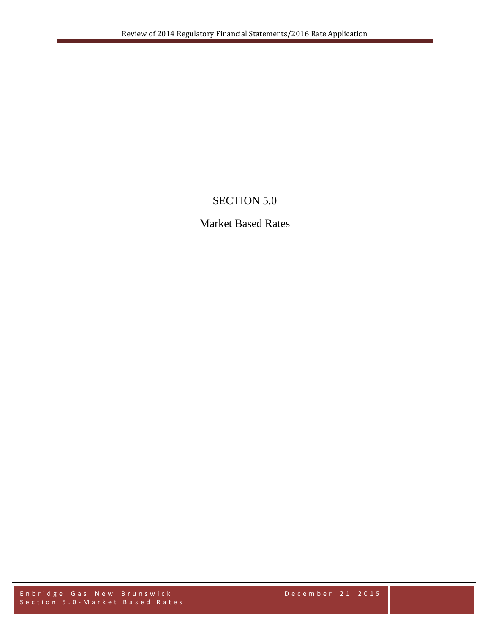## SECTION 5.0

## Market Based Rates

Enbridge Gas New Brunswick December 2 1 2015 Section 5.0 - Market Based Rates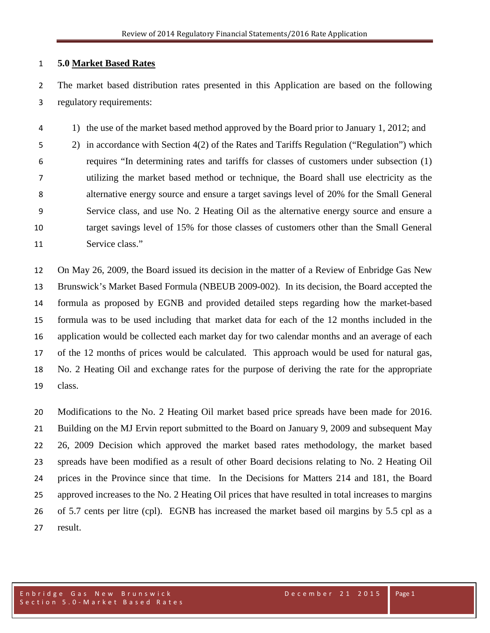## **5.0 Market Based Rates**

 The market based distribution rates presented in this Application are based on the following regulatory requirements:

1) the use of the market based method approved by the Board prior to January 1, 2012; and

 2) in accordance with Section 4(2) of the Rates and Tariffs Regulation ("Regulation") which requires "In determining rates and tariffs for classes of customers under subsection (1) utilizing the market based method or technique, the Board shall use electricity as the alternative energy source and ensure a target savings level of 20% for the Small General Service class, and use No. 2 Heating Oil as the alternative energy source and ensure a target savings level of 15% for those classes of customers other than the Small General Service class."

 On May 26, 2009, the Board issued its decision in the matter of a Review of Enbridge Gas New Brunswick's Market Based Formula (NBEUB 2009-002). In its decision, the Board accepted the formula as proposed by EGNB and provided detailed steps regarding how the market-based formula was to be used including that market data for each of the 12 months included in the application would be collected each market day for two calendar months and an average of each of the 12 months of prices would be calculated. This approach would be used for natural gas, No. 2 Heating Oil and exchange rates for the purpose of deriving the rate for the appropriate class.

 Modifications to the No. 2 Heating Oil market based price spreads have been made for 2016. Building on the MJ Ervin report submitted to the Board on January 9, 2009 and subsequent May 26, 2009 Decision which approved the market based rates methodology, the market based spreads have been modified as a result of other Board decisions relating to No. 2 Heating Oil prices in the Province since that time. In the Decisions for Matters 214 and 181, the Board approved increases to the No. 2 Heating Oil prices that have resulted in total increases to margins of 5.7 cents per litre (cpl). EGNB has increased the market based oil margins by 5.5 cpl as a result.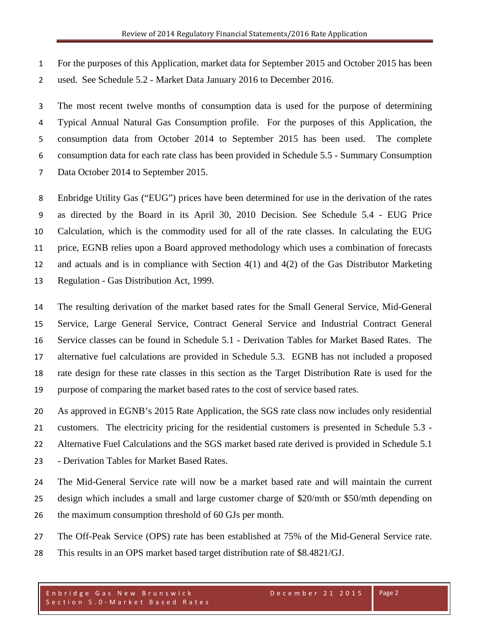For the purposes of this Application, market data for September 2015 and October 2015 has been used. See Schedule 5.2 - Market Data January 2016 to December 2016.

 The most recent twelve months of consumption data is used for the purpose of determining Typical Annual Natural Gas Consumption profile. For the purposes of this Application, the consumption data from October 2014 to September 2015 has been used. The complete consumption data for each rate class has been provided in Schedule 5.5 - Summary Consumption Data October 2014 to September 2015.

 Enbridge Utility Gas ("EUG") prices have been determined for use in the derivation of the rates as directed by the Board in its April 30, 2010 Decision. See Schedule 5.4 - EUG Price Calculation, which is the commodity used for all of the rate classes. In calculating the EUG price, EGNB relies upon a Board approved methodology which uses a combination of forecasts and actuals and is in compliance with Section 4(1) and 4(2) of the Gas Distributor Marketing Regulation - Gas Distribution Act, 1999.

 The resulting derivation of the market based rates for the Small General Service, Mid-General Service, Large General Service, Contract General Service and Industrial Contract General Service classes can be found in Schedule 5.1 - Derivation Tables for Market Based Rates. The alternative fuel calculations are provided in Schedule 5.3. EGNB has not included a proposed rate design for these rate classes in this section as the Target Distribution Rate is used for the purpose of comparing the market based rates to the cost of service based rates.

 As approved in EGNB's 2015 Rate Application, the SGS rate class now includes only residential customers. The electricity pricing for the residential customers is presented in Schedule 5.3 - Alternative Fuel Calculations and the SGS market based rate derived is provided in Schedule 5.1 - Derivation Tables for Market Based Rates.

 The Mid-General Service rate will now be a market based rate and will maintain the current design which includes a small and large customer charge of \$20/mth or \$50/mth depending on 26 the maximum consumption threshold of 60 GJs per month.

The Off-Peak Service (OPS) rate has been established at 75% of the Mid-General Service rate.

This results in an OPS market based target distribution rate of \$8.4821/GJ.